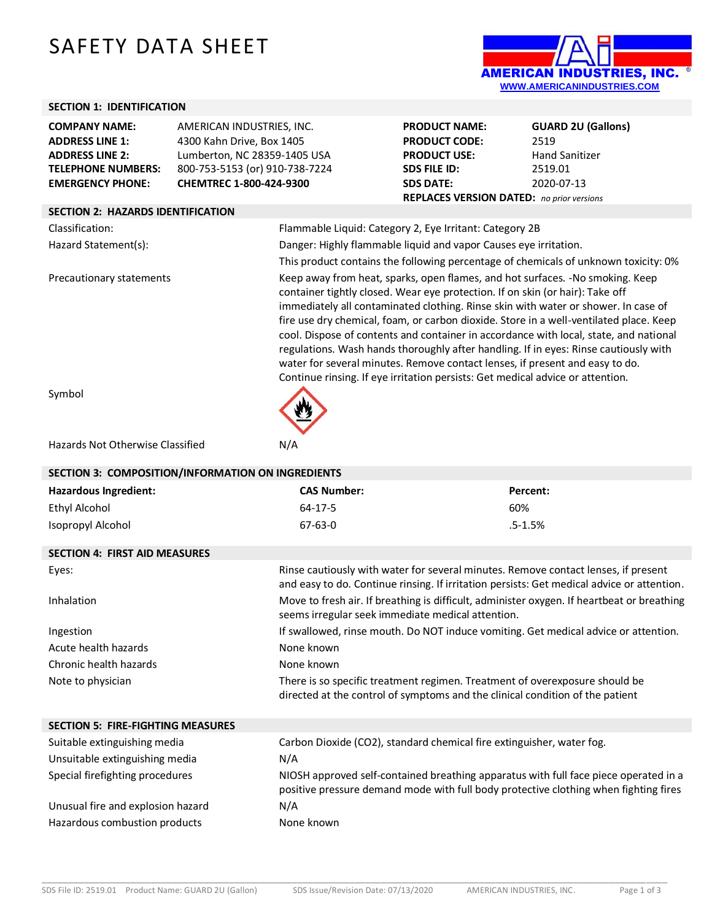# SAFETY DATA SHEET



## **SECTION 1: IDENTIFICATION**

| <b>COMPANY NAME:</b>      | AMERICAN INDUSTRIES, INC.      |
|---------------------------|--------------------------------|
| <b>ADDRESS LINE 1:</b>    | 4300 Kahn Drive, Box 1405      |
| <b>ADDRESS LINE 2:</b>    | Lumberton, NC 28359-1405 USA   |
| <b>TELEPHONE NUMBERS:</b> | 800-753-5153 (or) 910-738-7224 |
| <b>EMERGENCY PHONE:</b>   | CHEMTREC 1-800-424-9300        |

| <b>PRODUCT NAME:</b>                             | <b>GUARD 2U (Gallons)</b> |  |
|--------------------------------------------------|---------------------------|--|
| <b>PRODUCT CODE:</b>                             | 2519                      |  |
| <b>PRODUCT USE:</b>                              | <b>Hand Sanitizer</b>     |  |
| <b>SDS FILE ID:</b>                              | 2519.01                   |  |
| <b>SDS DATE:</b>                                 | 2020-07-13                |  |
| <b>REPLACES VERSION DATED:</b> no prior versions |                           |  |

## **SECTION 2: HAZARDS IDENTIFICATION**

| JLCHON 4. HALANDJ IDLIVIII ICATIVIV |                                                                                                                                                                                                                                                                                                                                                                                                                                                                                                                                                                                                                                                                                                   |
|-------------------------------------|---------------------------------------------------------------------------------------------------------------------------------------------------------------------------------------------------------------------------------------------------------------------------------------------------------------------------------------------------------------------------------------------------------------------------------------------------------------------------------------------------------------------------------------------------------------------------------------------------------------------------------------------------------------------------------------------------|
| Classification:                     | Flammable Liquid: Category 2, Eye Irritant: Category 2B                                                                                                                                                                                                                                                                                                                                                                                                                                                                                                                                                                                                                                           |
| Hazard Statement(s):                | Danger: Highly flammable liquid and vapor Causes eye irritation.                                                                                                                                                                                                                                                                                                                                                                                                                                                                                                                                                                                                                                  |
|                                     | This product contains the following percentage of chemicals of unknown toxicity: 0%                                                                                                                                                                                                                                                                                                                                                                                                                                                                                                                                                                                                               |
| Precautionary statements            | Keep away from heat, sparks, open flames, and hot surfaces. -No smoking. Keep<br>container tightly closed. Wear eye protection. If on skin (or hair): Take off<br>immediately all contaminated clothing. Rinse skin with water or shower. In case of<br>fire use dry chemical, foam, or carbon dioxide. Store in a well-ventilated place. Keep<br>cool. Dispose of contents and container in accordance with local, state, and national<br>regulations. Wash hands thoroughly after handling. If in eyes: Rinse cautiously with<br>water for several minutes. Remove contact lenses, if present and easy to do.<br>Continue rinsing. If eye irritation persists: Get medical advice or attention. |
| Svmbol                              |                                                                                                                                                                                                                                                                                                                                                                                                                                                                                                                                                                                                                                                                                                   |

Sy

#### Hazards Not Otherwise Classified N/A

| SECTION 3: COMPOSITION/INFORMATION ON INGREDIENTS |                                                                                                                                                                                  |             |  |  |
|---------------------------------------------------|----------------------------------------------------------------------------------------------------------------------------------------------------------------------------------|-------------|--|--|
| <b>Hazardous Ingredient:</b>                      | <b>CAS Number:</b>                                                                                                                                                               | Percent:    |  |  |
| <b>Ethyl Alcohol</b>                              | $64 - 17 - 5$                                                                                                                                                                    | 60%         |  |  |
| Isopropyl Alcohol                                 | $67 - 63 - 0$                                                                                                                                                                    | $.5 - 1.5%$ |  |  |
| <b>SECTION 4: FIRST AID MEASURES</b>              |                                                                                                                                                                                  |             |  |  |
| Eyes:                                             | Rinse cautiously with water for several minutes. Remove contact lenses, if present<br>and easy to do. Continue rinsing. If irritation persists: Get medical advice or attention. |             |  |  |
| Inhalation                                        | Move to fresh air. If breathing is difficult, administer oxygen. If heartbeat or breathing<br>seems irregular seek immediate medical attention.                                  |             |  |  |
| Ingestion                                         | If swallowed, rinse mouth. Do NOT induce vomiting. Get medical advice or attention.                                                                                              |             |  |  |
| Acute health hazards                              | None known                                                                                                                                                                       |             |  |  |
| Chronic health hazards                            | None known                                                                                                                                                                       |             |  |  |
| Note to physician                                 | There is so specific treatment regimen. Treatment of overexposure should be<br>directed at the control of symptoms and the clinical condition of the patient                     |             |  |  |
| <b>SECTION 5: FIRE-FIGHTING MEASURES</b>          |                                                                                                                                                                                  |             |  |  |
| Suitable extinguishing media                      | Carbon Dioxide (CO2), standard chemical fire extinguisher, water fog.                                                                                                            |             |  |  |
| Unsuitable extinguishing media                    | N/A                                                                                                                                                                              |             |  |  |
| Special firefighting procedures                   | NIOSH approved self-contained breathing apparatus with full face piece operated in a<br>positive pressure demand mode with full body protective clothing when fighting fires     |             |  |  |
| Unusual fire and explosion hazard                 | N/A                                                                                                                                                                              |             |  |  |
| Hazardous combustion products                     | None known                                                                                                                                                                       |             |  |  |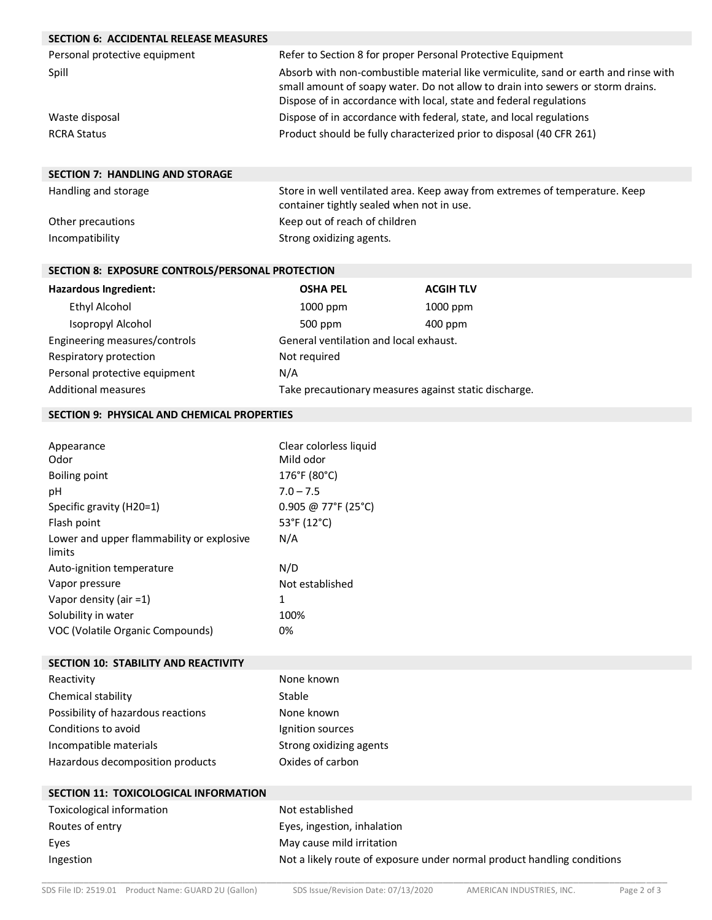| <b>SECTION 6: ACCIDENTAL RELEASE MEASURES</b>       |                                                                                     |                                                                                 |  |
|-----------------------------------------------------|-------------------------------------------------------------------------------------|---------------------------------------------------------------------------------|--|
| Personal protective equipment                       |                                                                                     | Refer to Section 8 for proper Personal Protective Equipment                     |  |
| Spill                                               | Absorb with non-combustible material like vermiculite, sand or earth and rinse with |                                                                                 |  |
|                                                     |                                                                                     | small amount of soapy water. Do not allow to drain into sewers or storm drains. |  |
|                                                     |                                                                                     | Dispose of in accordance with local, state and federal regulations              |  |
| Waste disposal                                      |                                                                                     | Dispose of in accordance with federal, state, and local regulations             |  |
| <b>RCRA Status</b>                                  |                                                                                     | Product should be fully characterized prior to disposal (40 CFR 261)            |  |
|                                                     |                                                                                     |                                                                                 |  |
| <b>SECTION 7: HANDLING AND STORAGE</b>              |                                                                                     |                                                                                 |  |
| Handling and storage                                | Store in well ventilated area. Keep away from extremes of temperature. Keep         |                                                                                 |  |
|                                                     | container tightly sealed when not in use.                                           |                                                                                 |  |
| Other precautions                                   | Keep out of reach of children                                                       |                                                                                 |  |
| Incompatibility                                     | Strong oxidizing agents.                                                            |                                                                                 |  |
|                                                     |                                                                                     |                                                                                 |  |
| SECTION 8: EXPOSURE CONTROLS/PERSONAL PROTECTION    |                                                                                     |                                                                                 |  |
| Hazardous Ingredient:                               | <b>OSHA PEL</b>                                                                     | <b>ACGIH TLV</b>                                                                |  |
| <b>Ethyl Alcohol</b>                                | 1000 ppm                                                                            | 1000 ppm                                                                        |  |
| Isopropyl Alcohol                                   | 500 ppm                                                                             | 400 ppm                                                                         |  |
| Engineering measures/controls                       | General ventilation and local exhaust.                                              |                                                                                 |  |
| Respiratory protection                              | Not required                                                                        |                                                                                 |  |
| Personal protective equipment                       | N/A                                                                                 |                                                                                 |  |
| <b>Additional measures</b>                          | Take precautionary measures against static discharge.                               |                                                                                 |  |
| <b>SECTION 9: PHYSICAL AND CHEMICAL PROPERTIES</b>  |                                                                                     |                                                                                 |  |
|                                                     |                                                                                     |                                                                                 |  |
| Appearance                                          | Clear colorless liquid                                                              |                                                                                 |  |
| Odor                                                | Mild odor                                                                           |                                                                                 |  |
| <b>Boiling point</b>                                | 176°F (80°C)                                                                        |                                                                                 |  |
| pH                                                  | $7.0 - 7.5$                                                                         |                                                                                 |  |
| Specific gravity (H20=1)                            | 0.905 @ 77°F (25°C)                                                                 |                                                                                 |  |
| Flash point                                         | 53°F (12°C)                                                                         |                                                                                 |  |
| Lower and upper flammability or explosive<br>limits | N/A                                                                                 |                                                                                 |  |
| Auto-ignition temperature                           | N/D                                                                                 |                                                                                 |  |
| Vapor pressure                                      | Not established                                                                     |                                                                                 |  |
| Vapor density (air =1)                              | 1                                                                                   |                                                                                 |  |
| Solubility in water                                 | 100%                                                                                |                                                                                 |  |
| VOC (Volatile Organic Compounds)                    | 0%                                                                                  |                                                                                 |  |
| <b>SECTION 10: STABILITY AND REACTIVITY</b>         |                                                                                     |                                                                                 |  |
| Reactivity                                          | None known                                                                          |                                                                                 |  |
| Chemical stability                                  | Stable                                                                              |                                                                                 |  |
| Possibility of hazardous reactions                  | None known                                                                          |                                                                                 |  |
| Conditions to avoid                                 | Ignition sources                                                                    |                                                                                 |  |
| Incompatible materials                              | Strong oxidizing agents                                                             |                                                                                 |  |
| Hazardous decomposition products                    | Oxides of carbon                                                                    |                                                                                 |  |
|                                                     |                                                                                     |                                                                                 |  |
| SECTION 11: TOXICOLOGICAL INFORMATION               |                                                                                     |                                                                                 |  |
| Toxicological information                           | Not established                                                                     |                                                                                 |  |
| Routes of entry                                     | Eyes, ingestion, inhalation                                                         |                                                                                 |  |
| Eyes                                                | May cause mild irritation                                                           |                                                                                 |  |
| Ingestion                                           |                                                                                     | Not a likely route of exposure under normal product handling conditions         |  |
|                                                     |                                                                                     |                                                                                 |  |